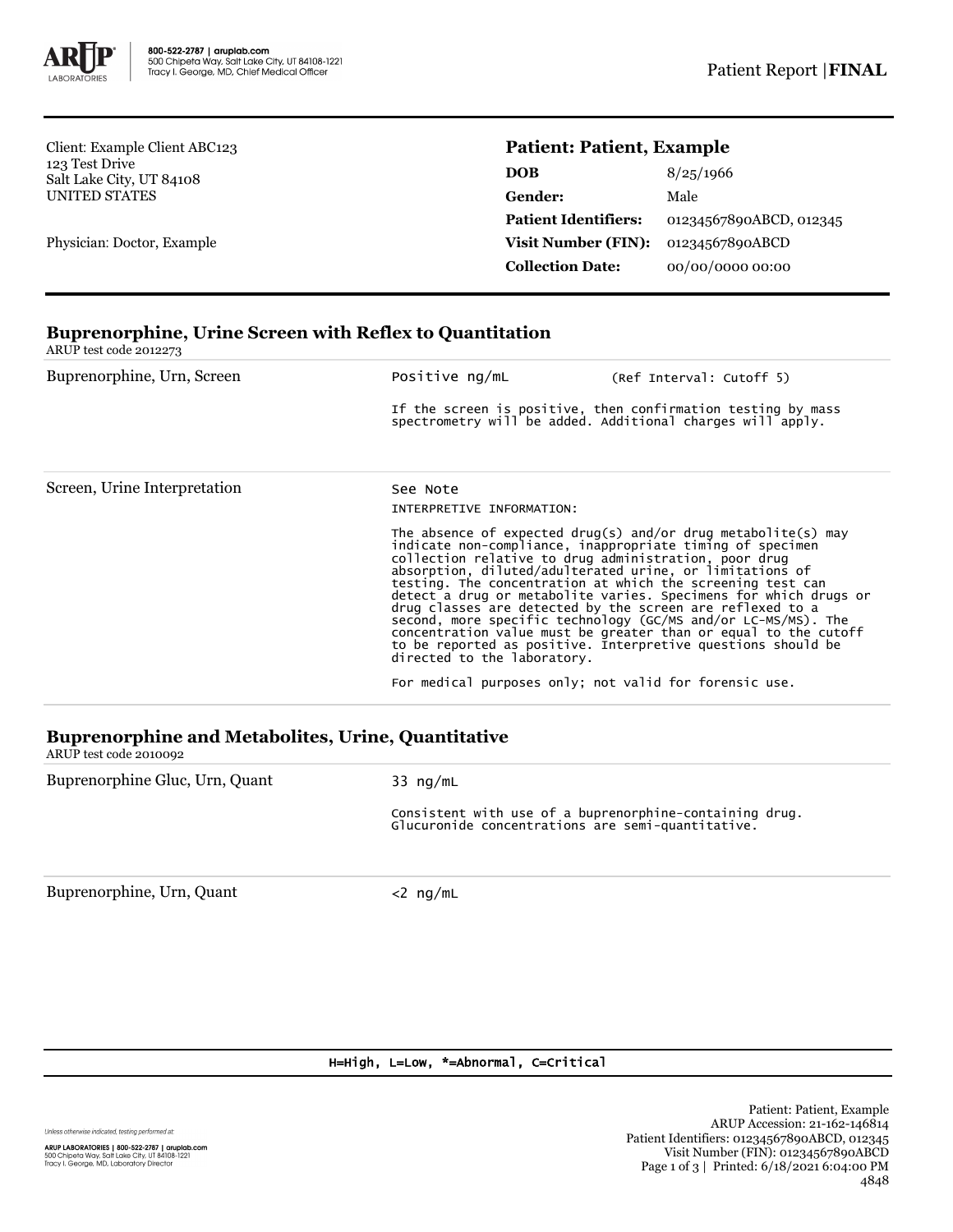

Client: Example Client ABC123 123 Test Drive Salt Lake City, UT 84108 UNITED STATES

Physician: Doctor, Example

## **Patient: Patient, Example**

| DOB                         | 8/25/1966               |  |
|-----------------------------|-------------------------|--|
| Gender:                     | Male                    |  |
| <b>Patient Identifiers:</b> | 01234567890ABCD, 012345 |  |
| <b>Visit Number (FIN):</b>  | 01234567890ABCD         |  |
| <b>Collection Date:</b>     | 00/00/0000 00:00        |  |

# **Buprenorphine, Urine Screen with Reflex to Quantitation** ARUP test code 2012273 Buprenorphine, Urn, Screen **Positive ng/mL** (Ref Interval: Cutoff 5) If the screen is positive, then confirmation testing by mass spectrometry will be added. Additional charges will apply. Screen, Urine Interpretation See Note INTERPRETIVE INFORMATION: The absence of expected drug(s) and/or drug metabolite(s) may indicate non-compliance, inappropriate timing of specimen collection relative to drug administration, poor drug absorption, diluted/adulterated urine, or limitations of testing. The concentration at which the screening test can detect a drug or metabolite varies. Specimens for which drugs or drug classes are detected by the screen are reflexed to a<br>second, more specific technology (GC/MS and/or LC-MS/MS). The<br>concentration value must be greater than or equal to the cutoff<br>to be reported as positive. Interpreti directed to the laboratory. For medical purposes only; not valid for forensic use. **Buprenorphine and Metabolites, Urine, Quantitative**

ARUP test code 2010092 Buprenorphine Gluc, Urn, Quant 33 ng/mL Consistent with use of a buprenorphine-containing drug. Glucuronide concentrations are semi-quantitative.

Buprenorphine, Urn, Quant <2 ng/mL

#### H=High, L=Low, \*=Abnormal, C=Critical

Unless otherwise indicated, testing performed at: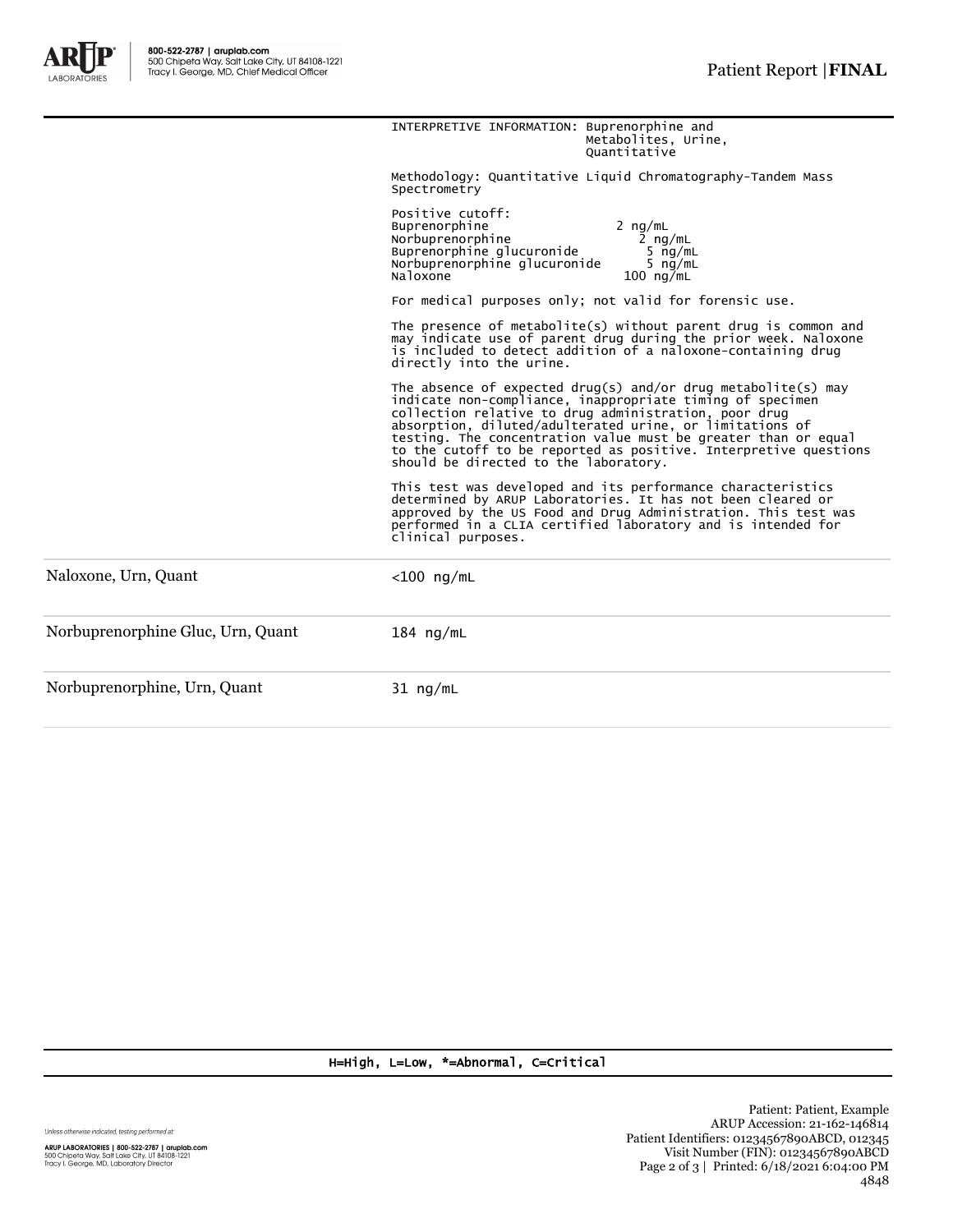

|                                   | INTERPRETIVE INFORMATION: Buprenorphine and<br>Metabolites, Urine,<br>Ouantitative                                                                                                                                                                                                                                                                                                                                             |  |  |  |
|-----------------------------------|--------------------------------------------------------------------------------------------------------------------------------------------------------------------------------------------------------------------------------------------------------------------------------------------------------------------------------------------------------------------------------------------------------------------------------|--|--|--|
|                                   | Methodology: Quantitative Liquid Chromatography-Tandem Mass<br>Spectrometry                                                                                                                                                                                                                                                                                                                                                    |  |  |  |
|                                   | Positive cutoff:<br>Buprenorphine<br>2 $nq/mL$<br>Norbuprenorphine<br>2 $nq/mL$<br>Buprenorphine glucuronide<br>5 $nq/mL$<br>Norbuprenorphine glucuronide<br>5 $nq/mL$<br>Naloxone<br>$100 \text{ ng/mL}$                                                                                                                                                                                                                      |  |  |  |
|                                   | For medical purposes only; not valid for forensic use.                                                                                                                                                                                                                                                                                                                                                                         |  |  |  |
|                                   | The presence of metabolite(s) without parent drug is common and<br>may indicate use of parent drug during the prior week. Naloxone<br>is included to detect addition of a naloxone-containing drug<br>directly into the urine.                                                                                                                                                                                                 |  |  |  |
|                                   | The absence of expected drug(s) and/or drug metabolite(s) may<br>indicate non-compliance, inappropriate timing of specimen<br>collection relative to drug administration, poor drug<br>absorption, diluted/adulterated urine, or limitations of<br>testing. The concentration value must be greater than or equal<br>to the cutoff to be reported as positive. Interpretive questions<br>should be directed to the laboratory. |  |  |  |
|                                   | This test was developed and its performance characteristics<br>determined by ARUP Laboratories. It has not been cleared or<br>approved by the US Food and Drug Administration. This test was<br>performed in a CLIA certified laboratory and is intended for<br>clinical purposes.                                                                                                                                             |  |  |  |
| Naloxone, Urn, Quant              | $<$ 100 ng/mL                                                                                                                                                                                                                                                                                                                                                                                                                  |  |  |  |
| Norbuprenorphine Gluc, Urn, Quant | $184$ ng/mL                                                                                                                                                                                                                                                                                                                                                                                                                    |  |  |  |
| Norbuprenorphine, Urn, Quant      | $31$ ng/mL                                                                                                                                                                                                                                                                                                                                                                                                                     |  |  |  |

### H=High, L=Low, \*=Abnormal, C=Critical

Unless otherwise indicated, testing performed at: